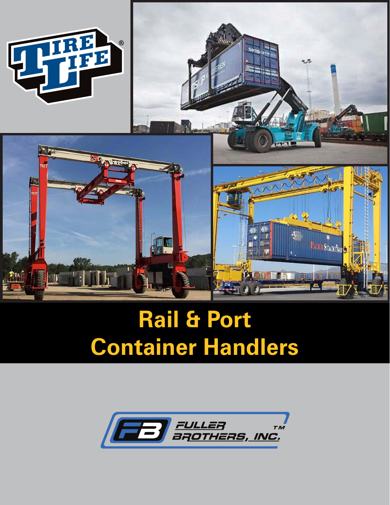

# **Rail & Port Container Handlers**